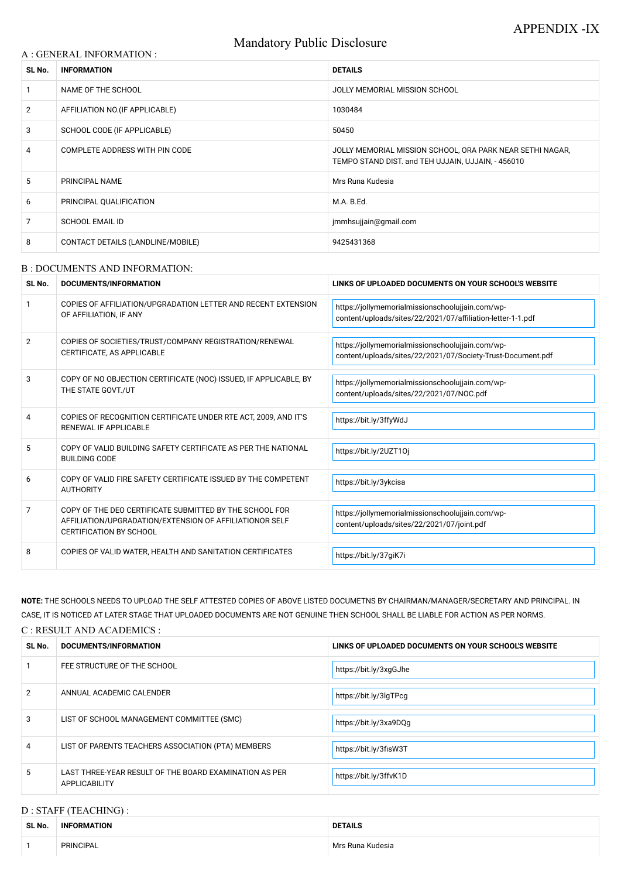# Mandatory Public Disclosure

#### A : GENERAL INFORMATION :

| SL No.         | <b>INFORMATION</b>                | <b>DETAILS</b>                                                                                                  |  |
|----------------|-----------------------------------|-----------------------------------------------------------------------------------------------------------------|--|
|                | NAME OF THE SCHOOL                | JOLLY MEMORIAL MISSION SCHOOL                                                                                   |  |
| $\overline{2}$ | AFFILIATION NO. (IF APPLICABLE)   | 1030484                                                                                                         |  |
| 3              | SCHOOL CODE (IF APPLICABLE)       | 50450                                                                                                           |  |
| 4              | COMPLETE ADDRESS WITH PIN CODE    | JOLLY MEMORIAL MISSION SCHOOL, ORA PARK NEAR SETHI NAGAR,<br>TEMPO STAND DIST. and TEH UJJAIN, UJJAIN, - 456010 |  |
| 5              | <b>PRINCIPAL NAME</b>             | Mrs Runa Kudesia                                                                                                |  |
| 6              | PRINCIPAL QUALIFICATION           | M.A. B.Ed.                                                                                                      |  |
| 7              | <b>SCHOOL EMAIL ID</b>            | jmmhsujjain@gmail.com                                                                                           |  |
| 8              | CONTACT DETAILS (LANDLINE/MOBILE) | 9425431368                                                                                                      |  |

#### B : DOCUMENTS AND INFORMATION:

| SL No.        | DOCUMENTS/INFORMATION                                                                                                                                | LINKS OF UPLOADED DOCUMENTS ON YOUR SCHOOL'S WEBSITE                                                            |  |
|---------------|------------------------------------------------------------------------------------------------------------------------------------------------------|-----------------------------------------------------------------------------------------------------------------|--|
|               | COPIES OF AFFILIATION/UPGRADATION LETTER AND RECENT EXTENSION<br>OF AFFILIATION, IF ANY                                                              | https://jollymemorialmissionschoolujjain.com/wp-<br>content/uploads/sites/22/2021/07/affiliation-letter-1-1.pdf |  |
| $\mathcal{P}$ | COPIES OF SOCIETIES/TRUST/COMPANY REGISTRATION/RENEWAL<br>CERTIFICATE, AS APPLICABLE                                                                 | https://jollymemorialmissionschoolujjain.com/wp-<br>content/uploads/sites/22/2021/07/Society-Trust-Document.pdf |  |
| 3             | COPY OF NO OBJECTION CERTIFICATE (NOC) ISSUED, IF APPLICABLE, BY<br>THE STATE GOVT./UT                                                               | https://jollymemorialmissionschoolujjain.com/wp-<br>content/uploads/sites/22/2021/07/NOC.pdf                    |  |
|               | COPIES OF RECOGNITION CERTIFICATE UNDER RTE ACT, 2009, AND IT'S<br><b>RENEWAL IF APPLICABLE</b>                                                      | https://bit.ly/3ffyWdJ                                                                                          |  |
| 5             | COPY OF VALID BUILDING SAFETY CERTIFICATE AS PER THE NATIONAL<br><b>BUILDING CODE</b>                                                                | https://bit.ly/2UZT10j                                                                                          |  |
| 6             | COPY OF VALID FIRE SAFETY CERTIFICATE ISSUED BY THE COMPETENT<br><b>AUTHORITY</b>                                                                    | https://bit.ly/3ykcisa                                                                                          |  |
| 7             | COPY OF THE DEO CERTIFICATE SUBMITTED BY THE SCHOOL FOR<br>AFFILIATION/UPGRADATION/EXTENSION OF AFFILIATIONOR SELF<br><b>CERTIFICATION BY SCHOOL</b> | https://jollymemorialmissionschoolujjain.com/wp-<br>content/uploads/sites/22/2021/07/joint.pdf                  |  |
| 8             | COPIES OF VALID WATER, HEALTH AND SANITATION CERTIFICATES                                                                                            | https://bit.ly/37giK7i                                                                                          |  |

|                | FEE STRUCTURE OF THE SCHOOL                                             | https://bit.ly/3xgGJhe |
|----------------|-------------------------------------------------------------------------|------------------------|
| $\overline{2}$ | ANNUAL ACADEMIC CALENDER                                                | https://bit.ly/3lgTPcg |
| 3              | LIST OF SCHOOL MANAGEMENT COMMITTEE (SMC)                               | https://bit.ly/3xa9DQg |
| 4              | LIST OF PARENTS TEACHERS ASSOCIATION (PTA) MEMBERS                      | https://bit.ly/3fisW3T |
| 5              | LAST THREE-YEAR RESULT OF THE BOARD EXAMINATION AS PER<br>APPLICABILITY | https://bit.ly/3ffvK1D |

**NOTE:** THE SCHOOLS NEEDS TO UPLOAD THE SELF ATTESTED COPIES OF ABOVE LISTED DOCUMETNS BY CHAIRMAN/MANAGER/SECRETARY AND PRINCIPAL. IN CASE, IT IS NOTICED AT LATER STAGE THAT UPLOADED DOCUMENTS ARE NOT GENUINE THEN SCHOOL SHALL BE LIABLE FOR ACTION AS PER NORMS.

#### C : RESULT AND ACADEMICS :

| SL No. | DOCUMENTS/INFORMAT | <b>S WEBSITF</b><br><b>LINKS</b><br>S OF UPLOADED DOCUMENTS ON '<br><b><i>LYOUR SCHOOL'S</i></b> |
|--------|--------------------|--------------------------------------------------------------------------------------------------|
|        |                    |                                                                                                  |

## D : STAFF (TEACHING) :

| SL No. | <b>INFORMATION</b> | <b>DETAILS</b>   |
|--------|--------------------|------------------|
|        | <b>PRINCIPAL</b>   | Mrs Runa Kudesia |